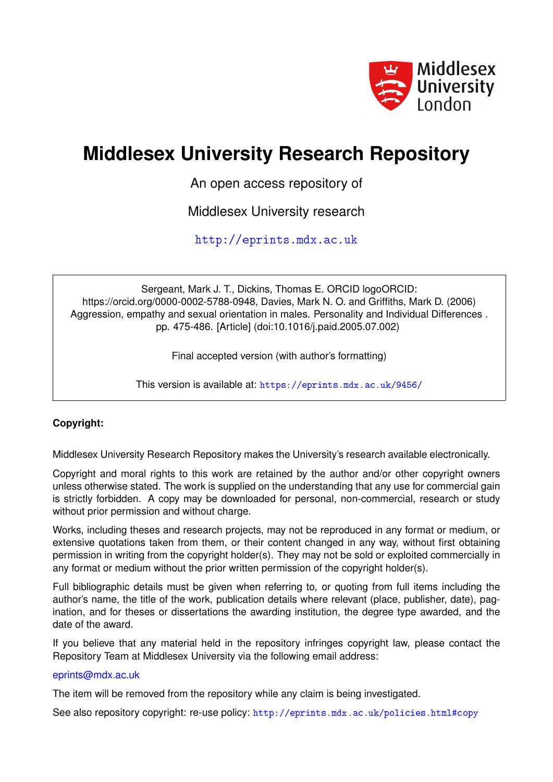

# **Middlesex University Research Repository**

An open access repository of

Middlesex University research

<http://eprints.mdx.ac.uk>

Sergeant, Mark J. T., Dickins, Thomas E. ORCID logoORCID: https://orcid.org/0000-0002-5788-0948, Davies, Mark N. O. and Griffiths, Mark D. (2006) Aggression, empathy and sexual orientation in males. Personality and Individual Differences . pp. 475-486. [Article] (doi:10.1016/j.paid.2005.07.002)

Final accepted version (with author's formatting)

This version is available at: <https://eprints.mdx.ac.uk/9456/>

### **Copyright:**

Middlesex University Research Repository makes the University's research available electronically.

Copyright and moral rights to this work are retained by the author and/or other copyright owners unless otherwise stated. The work is supplied on the understanding that any use for commercial gain is strictly forbidden. A copy may be downloaded for personal, non-commercial, research or study without prior permission and without charge.

Works, including theses and research projects, may not be reproduced in any format or medium, or extensive quotations taken from them, or their content changed in any way, without first obtaining permission in writing from the copyright holder(s). They may not be sold or exploited commercially in any format or medium without the prior written permission of the copyright holder(s).

Full bibliographic details must be given when referring to, or quoting from full items including the author's name, the title of the work, publication details where relevant (place, publisher, date), pagination, and for theses or dissertations the awarding institution, the degree type awarded, and the date of the award.

If you believe that any material held in the repository infringes copyright law, please contact the Repository Team at Middlesex University via the following email address:

#### [eprints@mdx.ac.uk](mailto:eprints@mdx.ac.uk)

The item will be removed from the repository while any claim is being investigated.

See also repository copyright: re-use policy: <http://eprints.mdx.ac.uk/policies.html#copy>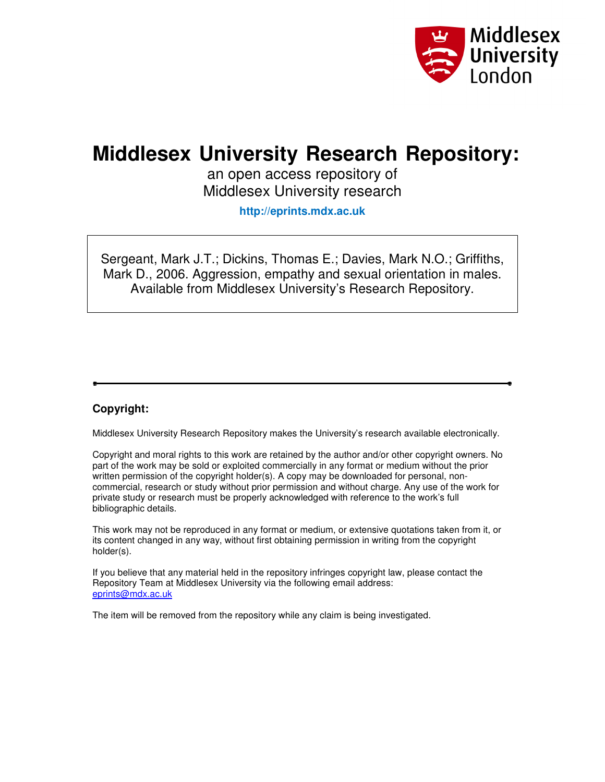

# **Middlesex University Research Repository:**

an open access repository of Middlesex University research

**http://eprints.mdx.ac.uk** 

Sergeant, Mark J.T.; Dickins, Thomas E.; Davies, Mark N.O.; Griffiths, Mark D., 2006. Aggression, empathy and sexual orientation in males. Available from Middlesex University's Research Repository.

### **Copyright:**

Middlesex University Research Repository makes the University's research available electronically.

Copyright and moral rights to this work are retained by the author and/or other copyright owners. No part of the work may be sold or exploited commercially in any format or medium without the prior written permission of the copyright holder(s). A copy may be downloaded for personal, noncommercial, research or study without prior permission and without charge. Any use of the work for private study or research must be properly acknowledged with reference to the work's full bibliographic details.

This work may not be reproduced in any format or medium, or extensive quotations taken from it, or its content changed in any way, without first obtaining permission in writing from the copyright holder(s).

If you believe that any material held in the repository infringes copyright law, please contact the Repository Team at Middlesex University via the following email address: eprints@mdx.ac.uk

The item will be removed from the repository while any claim is being investigated.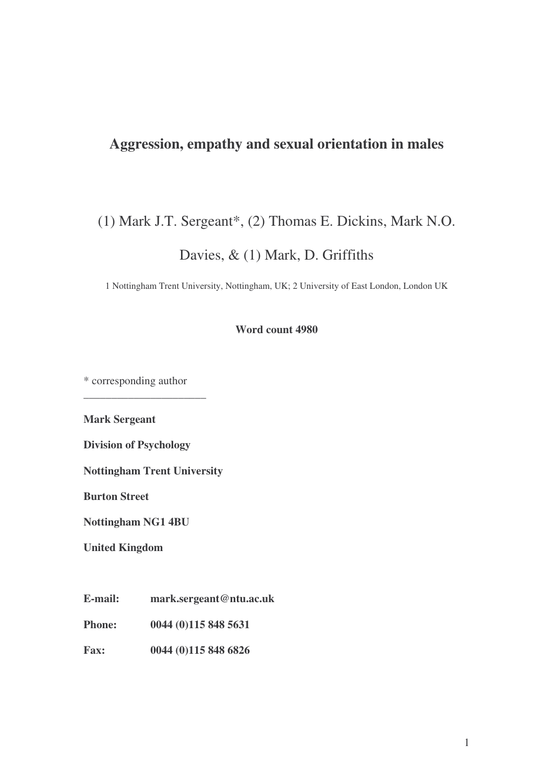## **Aggression, empathy and sexual orientation in males**

## (1) Mark J.T. Sergeant\*, (2) Thomas E. Dickins, Mark N.O.

Davies, & (1) Mark, D. Griffiths

1 Nottingham Trent University, Nottingham, UK; 2 University of East London, London UK

**Word count 4980**

\* corresponding author

**\_\_\_\_\_\_\_\_\_\_\_\_\_\_\_\_\_\_\_\_\_\_**

**Mark Sergeant**

**Division of Psychology**

**Nottingham Trent University**

**Burton Street**

**Nottingham NG1 4BU**

**United Kingdom**

**E-mail: mark.sergeant@ntu.ac.uk**

**Phone: 0044 (0)115 848 5631**

**Fax: 0044 (0)115 848 6826**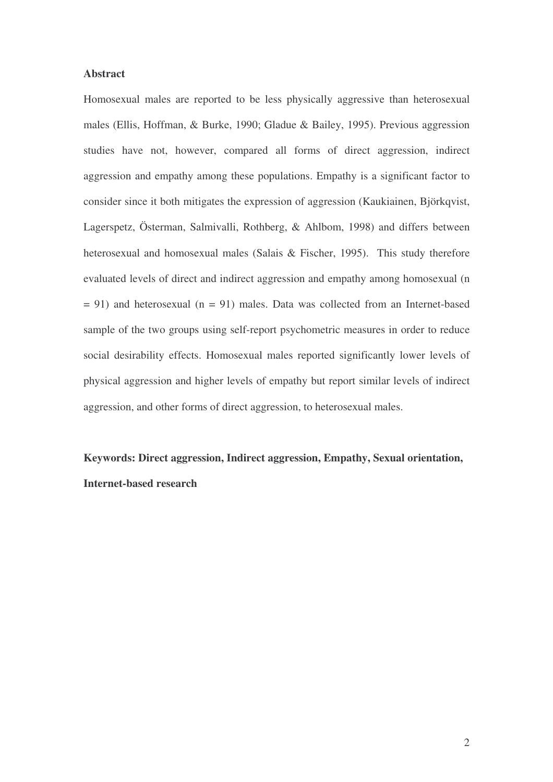#### **Abstract**

Homosexual males are reported to be less physically aggressive than heterosexual males (Ellis, Hoffman, & Burke, 1990; Gladue & Bailey, 1995). Previous aggression studies have not, however, compared all forms of direct aggression, indirect aggression and empathy among these populations. Empathy is a significant factor to consider since it both mitigates the expression of aggression (Kaukiainen, Björkqvist, Lagerspetz, Österman, Salmivalli, Rothberg, & Ahlbom, 1998) and differs between heterosexual and homosexual males (Salais & Fischer, 1995). This study therefore evaluated levels of direct and indirect aggression and empathy among homosexual (n  $= 91$ ) and heterosexual (n  $= 91$ ) males. Data was collected from an Internet-based sample of the two groups using self-report psychometric measures in order to reduce social desirability effects. Homosexual males reported significantly lower levels of physical aggression and higher levels of empathy but report similar levels of indirect aggression, and other forms of direct aggression, to heterosexual males.

**Keywords: Direct aggression, Indirect aggression, Empathy, Sexual orientation, Internet-based research**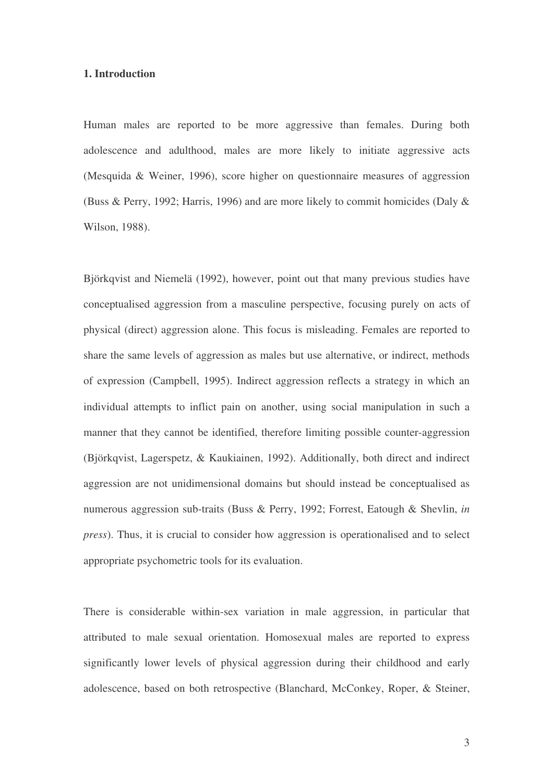#### **1. Introduction**

Human males are reported to be more aggressive than females. During both adolescence and adulthood, males are more likely to initiate aggressive acts (Mesquida & Weiner, 1996), score higher on questionnaire measures of aggression (Buss & Perry, 1992; Harris, 1996) and are more likely to commit homicides (Daly & Wilson, 1988).

Björkqvist and Niemelä (1992), however, point out that many previous studies have conceptualised aggression from a masculine perspective, focusing purely on acts of physical (direct) aggression alone. This focus is misleading. Females are reported to share the same levels of aggression as males but use alternative, or indirect, methods of expression (Campbell, 1995). Indirect aggression reflects a strategy in which an individual attempts to inflict pain on another, using social manipulation in such a manner that they cannot be identified, therefore limiting possible counter-aggression (Björkqvist, Lagerspetz, & Kaukiainen, 1992). Additionally, both direct and indirect aggression are not unidimensional domains but should instead be conceptualised as numerous aggression sub-traits (Buss & Perry, 1992; Forrest, Eatough & Shevlin, *in press*). Thus, it is crucial to consider how aggression is operationalised and to select appropriate psychometric tools for its evaluation.

There is considerable within-sex variation in male aggression, in particular that attributed to male sexual orientation. Homosexual males are reported to express significantly lower levels of physical aggression during their childhood and early adolescence, based on both retrospective (Blanchard, McConkey, Roper, & Steiner,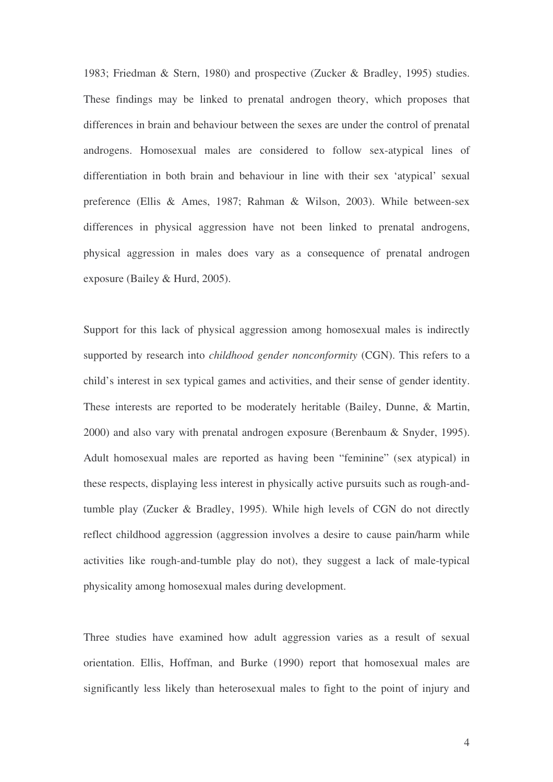1983; Friedman & Stern, 1980) and prospective (Zucker & Bradley, 1995) studies. These findings may be linked to prenatal androgen theory, which proposes that differences in brain and behaviour between the sexes are under the control of prenatal androgens. Homosexual males are considered to follow sex-atypical lines of differentiation in both brain and behaviour in line with their sex 'atypical' sexual preference (Ellis & Ames, 1987; Rahman & Wilson, 2003). While between-sex differences in physical aggression have not been linked to prenatal androgens, physical aggression in males does vary as a consequence of prenatal androgen exposure (Bailey & Hurd, 2005).

Support for this lack of physical aggression among homosexual males is indirectly supported by research into *childhood gender nonconformity* (CGN). This refers to a child's interest in sex typical games and activities, and their sense of gender identity. These interests are reported to be moderately heritable (Bailey, Dunne, & Martin, 2000) and also vary with prenatal androgen exposure (Berenbaum & Snyder, 1995). Adult homosexual males are reported as having been "feminine" (sex atypical) in these respects, displaying less interest in physically active pursuits such as rough-andtumble play (Zucker & Bradley, 1995). While high levels of CGN do not directly reflect childhood aggression (aggression involves a desire to cause pain/harm while activities like rough-and-tumble play do not), they suggest a lack of male-typical physicality among homosexual males during development.

Three studies have examined how adult aggression varies as a result of sexual orientation. Ellis, Hoffman, and Burke (1990) report that homosexual males are significantly less likely than heterosexual males to fight to the point of injury and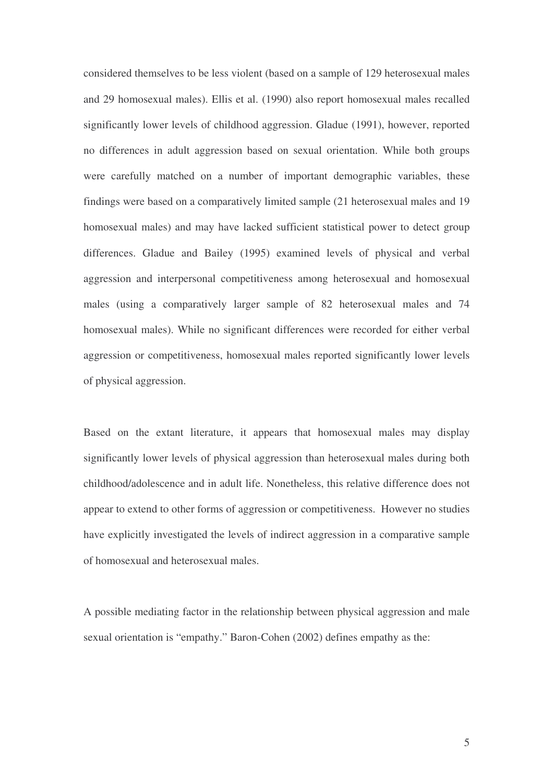considered themselves to be less violent (based on a sample of 129 heterosexual males and 29 homosexual males). Ellis et al. (1990) also report homosexual males recalled significantly lower levels of childhood aggression. Gladue (1991), however, reported no differences in adult aggression based on sexual orientation. While both groups were carefully matched on a number of important demographic variables, these findings were based on a comparatively limited sample (21 heterosexual males and 19 homosexual males) and may have lacked sufficient statistical power to detect group differences. Gladue and Bailey (1995) examined levels of physical and verbal aggression and interpersonal competitiveness among heterosexual and homosexual males (using a comparatively larger sample of 82 heterosexual males and 74 homosexual males). While no significant differences were recorded for either verbal aggression or competitiveness, homosexual males reported significantly lower levels of physical aggression.

Based on the extant literature, it appears that homosexual males may display significantly lower levels of physical aggression than heterosexual males during both childhood/adolescence and in adult life. Nonetheless, this relative difference does not appear to extend to other forms of aggression or competitiveness. However no studies have explicitly investigated the levels of indirect aggression in a comparative sample of homosexual and heterosexual males.

A possible mediating factor in the relationship between physical aggression and male sexual orientation is "empathy." Baron-Cohen (2002) defines empathy as the:

5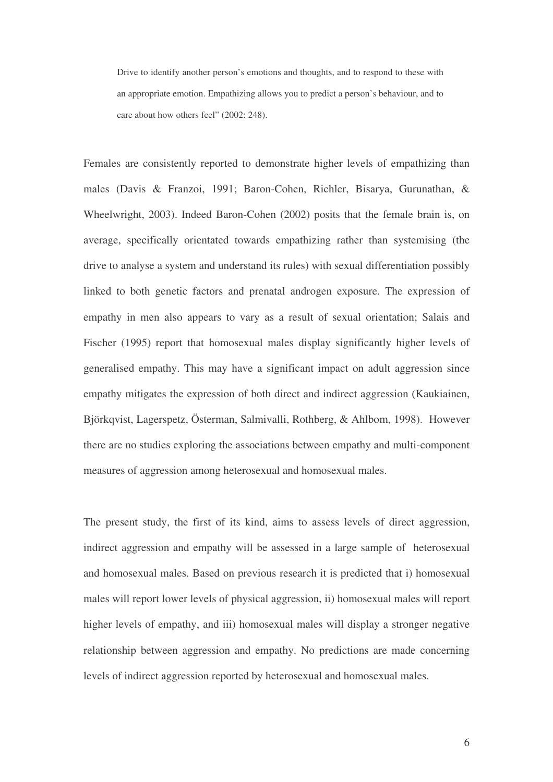Drive to identify another person's emotions and thoughts, and to respond to these with an appropriate emotion. Empathizing allows you to predict a person's behaviour, and to care about how others feel" (2002: 248).

Females are consistently reported to demonstrate higher levels of empathizing than males (Davis & Franzoi, 1991; Baron-Cohen, Richler, Bisarya, Gurunathan, & Wheelwright, 2003). Indeed Baron-Cohen (2002) posits that the female brain is, on average, specifically orientated towards empathizing rather than systemising (the drive to analyse a system and understand its rules) with sexual differentiation possibly linked to both genetic factors and prenatal androgen exposure. The expression of empathy in men also appears to vary as a result of sexual orientation; Salais and Fischer (1995) report that homosexual males display significantly higher levels of generalised empathy. This may have a significant impact on adult aggression since empathy mitigates the expression of both direct and indirect aggression (Kaukiainen, Björkqvist, Lagerspetz, Österman, Salmivalli, Rothberg, & Ahlbom, 1998). However there are no studies exploring the associations between empathy and multi-component measures of aggression among heterosexual and homosexual males.

The present study, the first of its kind, aims to assess levels of direct aggression, indirect aggression and empathy will be assessed in a large sample of heterosexual and homosexual males. Based on previous research it is predicted that i) homosexual males will report lower levels of physical aggression, ii) homosexual males will report higher levels of empathy, and iii) homosexual males will display a stronger negative relationship between aggression and empathy. No predictions are made concerning levels of indirect aggression reported by heterosexual and homosexual males.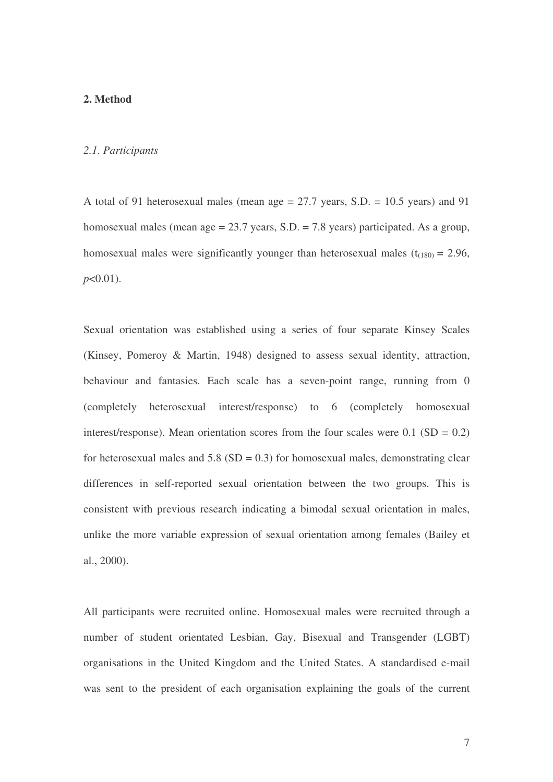#### **2. Method**

#### *2.1. Participants*

A total of 91 heterosexual males (mean age = 27.7 years, S.D. = 10.5 years) and 91 homosexual males (mean age = 23.7 years, S.D. = 7.8 years) participated. As a group, homosexual males were significantly younger than heterosexual males  $(t_{(180)} = 2.96$ , *p*<0.01).

Sexual orientation was established using a series of four separate Kinsey Scales (Kinsey, Pomeroy & Martin, 1948) designed to assess sexual identity, attraction, behaviour and fantasies. Each scale has a seven-point range, running from 0 (completely heterosexual interest/response) to 6 (completely homosexual interest/response). Mean orientation scores from the four scales were 0.1 ( $SD = 0.2$ ) for heterosexual males and  $5.8$  (SD = 0.3) for homosexual males, demonstrating clear differences in self-reported sexual orientation between the two groups. This is consistent with previous research indicating a bimodal sexual orientation in males, unlike the more variable expression of sexual orientation among females (Bailey et al., 2000).

All participants were recruited online. Homosexual males were recruited through a number of student orientated Lesbian, Gay, Bisexual and Transgender (LGBT) organisations in the United Kingdom and the United States. A standardised e-mail was sent to the president of each organisation explaining the goals of the current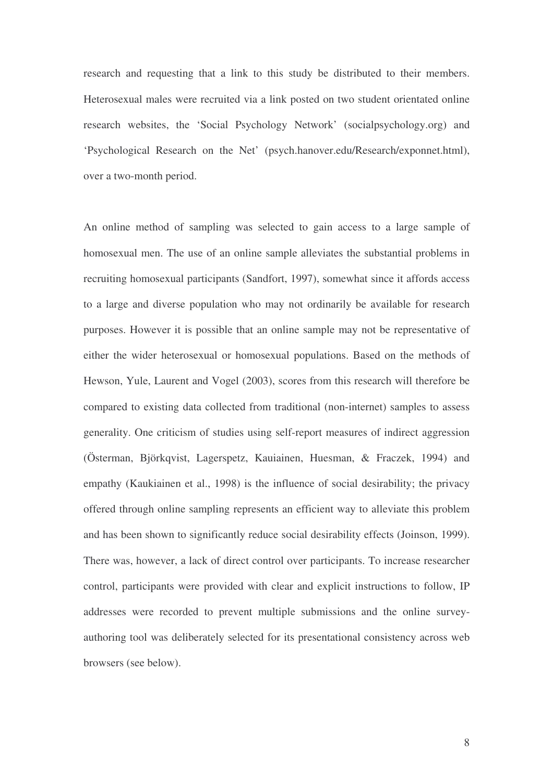research and requesting that a link to this study be distributed to their members. Heterosexual males were recruited via a link posted on two student orientated online research websites, the 'Social Psychology Network' (socialpsychology.org) and 'Psychological Research on the Net' (psych.hanover.edu/Research/exponnet.html), over a two-month period.

An online method of sampling was selected to gain access to a large sample of homosexual men. The use of an online sample alleviates the substantial problems in recruiting homosexual participants (Sandfort, 1997), somewhat since it affords access to a large and diverse population who may not ordinarily be available for research purposes. However it is possible that an online sample may not be representative of either the wider heterosexual or homosexual populations. Based on the methods of Hewson, Yule, Laurent and Vogel (2003), scores from this research will therefore be compared to existing data collected from traditional (non-internet) samples to assess generality. One criticism of studies using self-report measures of indirect aggression (Österman, Björkqvist, Lagerspetz, Kauiainen, Huesman, & Fraczek, 1994) and empathy (Kaukiainen et al., 1998) is the influence of social desirability; the privacy offered through online sampling represents an efficient way to alleviate this problem and has been shown to significantly reduce social desirability effects (Joinson, 1999). There was, however, a lack of direct control over participants. To increase researcher control, participants were provided with clear and explicit instructions to follow, IP addresses were recorded to prevent multiple submissions and the online surveyauthoring tool was deliberately selected for its presentational consistency across web browsers (see below).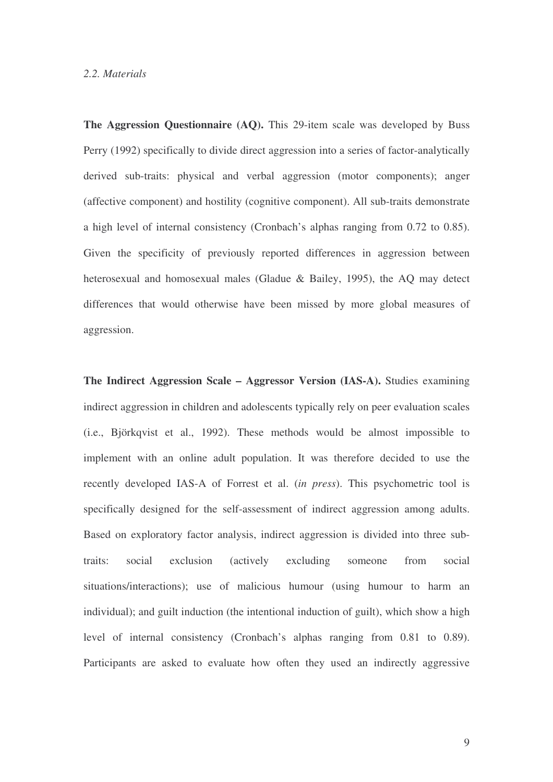#### *2.2. Materials*

**The Aggression Questionnaire (AQ).** This 29-item scale was developed by Buss Perry (1992) specifically to divide direct aggression into a series of factor-analytically derived sub-traits: physical and verbal aggression (motor components); anger (affective component) and hostility (cognitive component). All sub-traits demonstrate a high level of internal consistency (Cronbach's alphas ranging from 0.72 to 0.85). Given the specificity of previously reported differences in aggression between heterosexual and homosexual males (Gladue & Bailey, 1995), the AQ may detect differences that would otherwise have been missed by more global measures of aggression.

**The Indirect Aggression Scale – Aggressor Version (IAS-A).** Studies examining indirect aggression in children and adolescents typically rely on peer evaluation scales (i.e., Björkqvist et al., 1992). These methods would be almost impossible to implement with an online adult population. It was therefore decided to use the recently developed IAS-A of Forrest et al. (*in press*). This psychometric tool is specifically designed for the self-assessment of indirect aggression among adults. Based on exploratory factor analysis, indirect aggression is divided into three subtraits: social exclusion (actively excluding someone from social situations/interactions); use of malicious humour (using humour to harm an individual); and guilt induction (the intentional induction of guilt), which show a high level of internal consistency (Cronbach's alphas ranging from 0.81 to 0.89). Participants are asked to evaluate how often they used an indirectly aggressive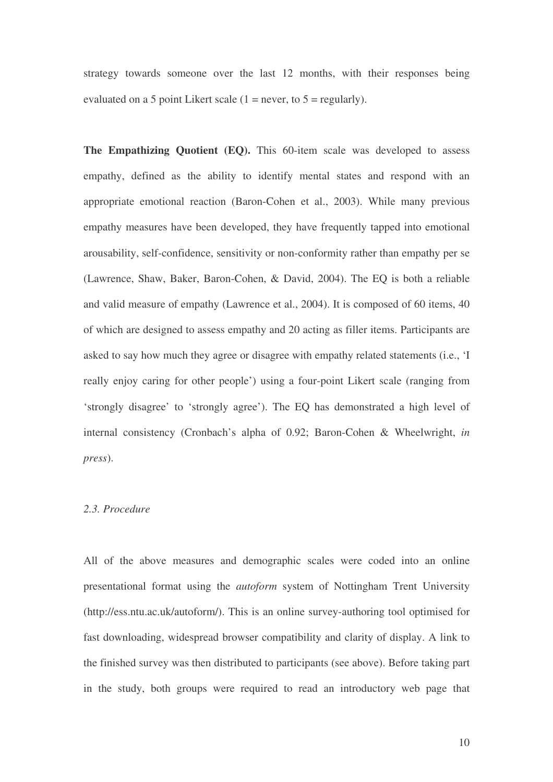strategy towards someone over the last 12 months, with their responses being evaluated on a 5 point Likert scale  $(1 = never, to 5 = regularly)$ .

**The Empathizing Quotient (EQ).** This 60-item scale was developed to assess empathy, defined as the ability to identify mental states and respond with an appropriate emotional reaction (Baron-Cohen et al., 2003). While many previous empathy measures have been developed, they have frequently tapped into emotional arousability, self-confidence, sensitivity or non-conformity rather than empathy per se (Lawrence, Shaw, Baker, Baron-Cohen, & David, 2004). The EQ is both a reliable and valid measure of empathy (Lawrence et al., 2004). It is composed of 60 items, 40 of which are designed to assess empathy and 20 acting as filler items. Participants are asked to say how much they agree or disagree with empathy related statements (i.e., 'I really enjoy caring for other people') using a four-point Likert scale (ranging from 'strongly disagree' to 'strongly agree'). The EQ has demonstrated a high level of internal consistency (Cronbach's alpha of 0.92; Baron-Cohen & Wheelwright, *in press*).

#### *2.3. Procedure*

All of the above measures and demographic scales were coded into an online presentational format using the *autoform* system of Nottingham Trent University (http://ess.ntu.ac.uk/autoform/). This is an online survey-authoring tool optimised for fast downloading, widespread browser compatibility and clarity of display. A link to the finished survey was then distributed to participants (see above). Before taking part in the study, both groups were required to read an introductory web page that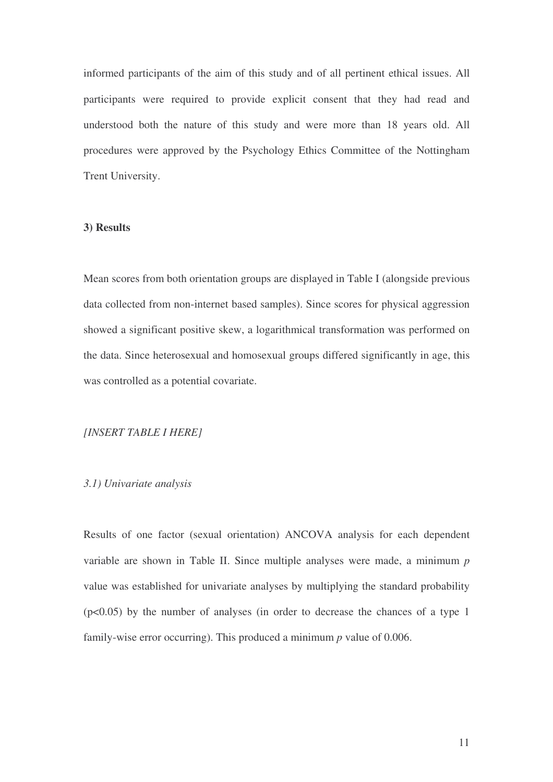informed participants of the aim of this study and of all pertinent ethical issues. All participants were required to provide explicit consent that they had read and understood both the nature of this study and were more than 18 years old. All procedures were approved by the Psychology Ethics Committee of the Nottingham Trent University.

#### **3) Results**

Mean scores from both orientation groups are displayed in Table I (alongside previous data collected from non-internet based samples). Since scores for physical aggression showed a significant positive skew, a logarithmical transformation was performed on the data. Since heterosexual and homosexual groups differed significantly in age, this was controlled as a potential covariate.

#### *[INSERT TABLE I HERE]*

#### *3.1) Univariate analysis*

Results of one factor (sexual orientation) ANCOVA analysis for each dependent variable are shown in Table II. Since multiple analyses were made, a minimum *p* value was established for univariate analyses by multiplying the standard probability  $(p<0.05)$  by the number of analyses (in order to decrease the chances of a type 1 family-wise error occurring). This produced a minimum *p* value of 0.006.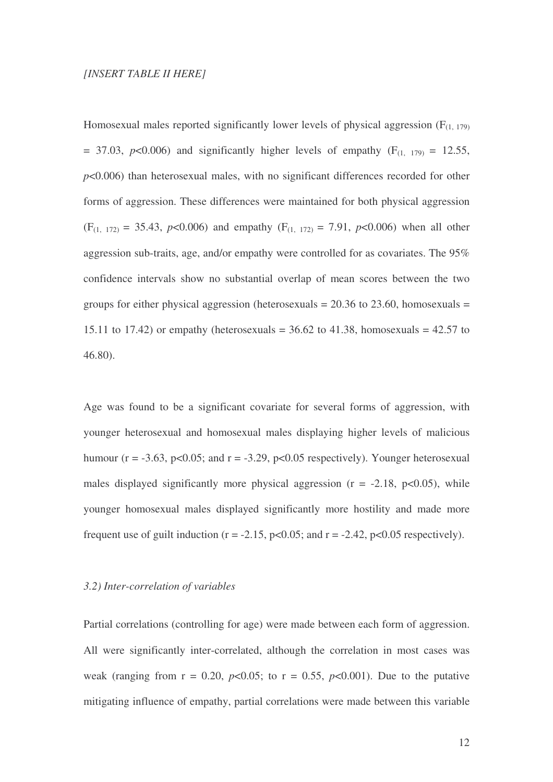#### *[INSERT TABLE II HERE]*

Homosexual males reported significantly lower levels of physical aggression  $(F_{(1, 179)}$  $=$  37.03,  $p$ <0.006) and significantly higher levels of empathy (F<sub>(1, 179)</sub> = 12.55, *p*<0.006) than heterosexual males, with no significant differences recorded for other forms of aggression. These differences were maintained for both physical aggression  $(F_{(1, 172)} = 35.43, p<0.006)$  and empathy  $(F_{(1, 172)} = 7.91, p<0.006)$  when all other aggression sub-traits, age, and/or empathy were controlled for as covariates. The 95% confidence intervals show no substantial overlap of mean scores between the two groups for either physical aggression (heterosexuals  $= 20.36$  to 23.60, homosexuals  $=$ 15.11 to 17.42) or empathy (heterosexuals  $=$  36.62 to 41.38, homosexuals  $=$  42.57 to 46.80).

Age was found to be a significant covariate for several forms of aggression, with younger heterosexual and homosexual males displaying higher levels of malicious humour ( $r = -3.63$ ,  $p < 0.05$ ; and  $r = -3.29$ ,  $p < 0.05$  respectively). Younger heterosexual males displayed significantly more physical aggression ( $r = -2.18$ ,  $p < 0.05$ ), while younger homosexual males displayed significantly more hostility and made more frequent use of guilt induction ( $r = -2.15$ ,  $p < 0.05$ ; and  $r = -2.42$ ,  $p < 0.05$  respectively).

#### *3.2) Inter-correlation of variables*

Partial correlations (controlling for age) were made between each form of aggression. All were significantly inter-correlated, although the correlation in most cases was weak (ranging from  $r = 0.20$ ,  $p < 0.05$ ; to  $r = 0.55$ ,  $p < 0.001$ ). Due to the putative mitigating influence of empathy, partial correlations were made between this variable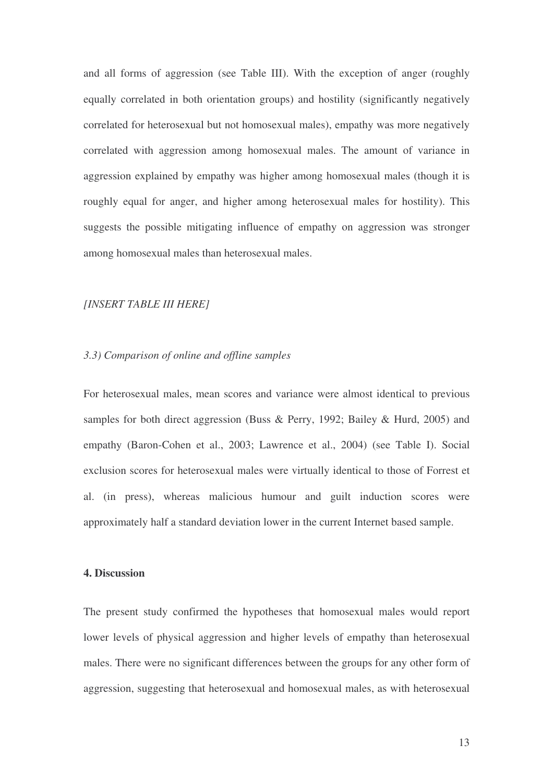and all forms of aggression (see Table III). With the exception of anger (roughly equally correlated in both orientation groups) and hostility (significantly negatively correlated for heterosexual but not homosexual males), empathy was more negatively correlated with aggression among homosexual males. The amount of variance in aggression explained by empathy was higher among homosexual males (though it is roughly equal for anger, and higher among heterosexual males for hostility). This suggests the possible mitigating influence of empathy on aggression was stronger among homosexual males than heterosexual males.

#### *[INSERT TABLE III HERE]*

#### *3.3) Comparison of online and offline samples*

For heterosexual males, mean scores and variance were almost identical to previous samples for both direct aggression (Buss & Perry, 1992; Bailey & Hurd, 2005) and empathy (Baron-Cohen et al., 2003; Lawrence et al., 2004) (see Table I). Social exclusion scores for heterosexual males were virtually identical to those of Forrest et al. (in press), whereas malicious humour and guilt induction scores were approximately half a standard deviation lower in the current Internet based sample.

#### **4. Discussion**

The present study confirmed the hypotheses that homosexual males would report lower levels of physical aggression and higher levels of empathy than heterosexual males. There were no significant differences between the groups for any other form of aggression, suggesting that heterosexual and homosexual males, as with heterosexual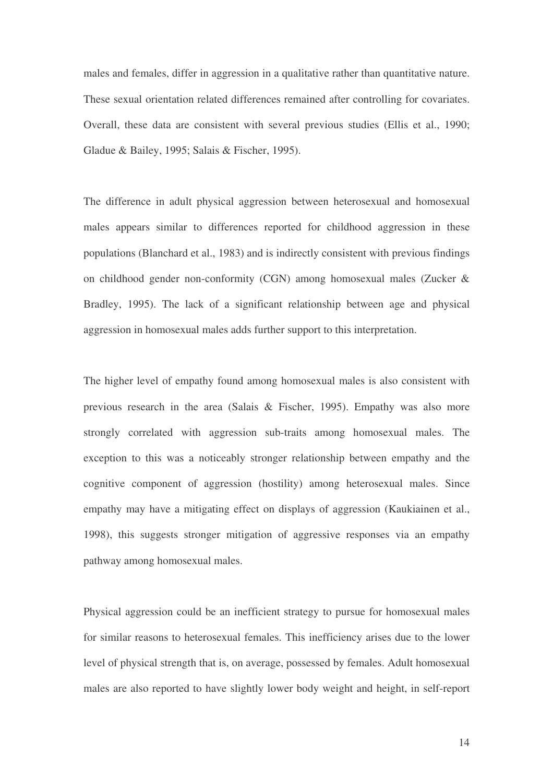males and females, differ in aggression in a qualitative rather than quantitative nature. These sexual orientation related differences remained after controlling for covariates. Overall, these data are consistent with several previous studies (Ellis et al., 1990; Gladue & Bailey, 1995; Salais & Fischer, 1995).

The difference in adult physical aggression between heterosexual and homosexual males appears similar to differences reported for childhood aggression in these populations (Blanchard et al., 1983) and is indirectly consistent with previous findings on childhood gender non-conformity (CGN) among homosexual males (Zucker & Bradley, 1995). The lack of a significant relationship between age and physical aggression in homosexual males adds further support to this interpretation.

The higher level of empathy found among homosexual males is also consistent with previous research in the area (Salais & Fischer, 1995). Empathy was also more strongly correlated with aggression sub-traits among homosexual males. The exception to this was a noticeably stronger relationship between empathy and the cognitive component of aggression (hostility) among heterosexual males. Since empathy may have a mitigating effect on displays of aggression (Kaukiainen et al., 1998), this suggests stronger mitigation of aggressive responses via an empathy pathway among homosexual males.

Physical aggression could be an inefficient strategy to pursue for homosexual males for similar reasons to heterosexual females. This inefficiency arises due to the lower level of physical strength that is, on average, possessed by females. Adult homosexual males are also reported to have slightly lower body weight and height, in self-report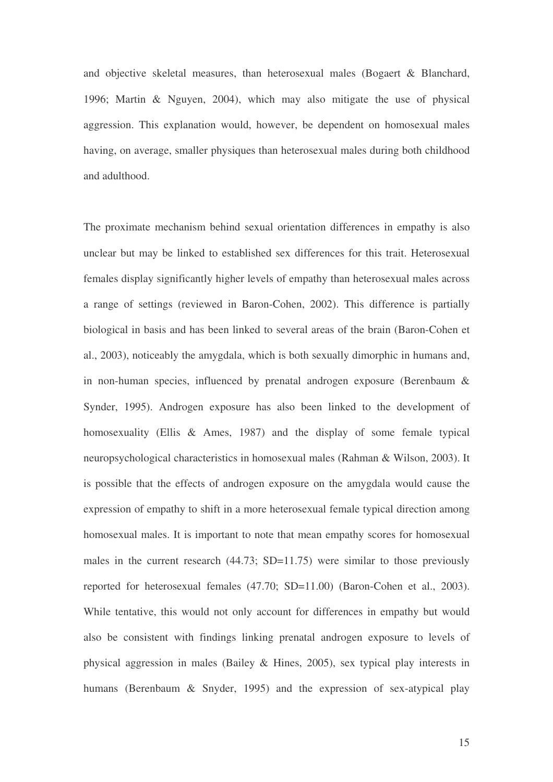and objective skeletal measures, than heterosexual males (Bogaert & Blanchard, 1996; Martin & Nguyen, 2004), which may also mitigate the use of physical aggression. This explanation would, however, be dependent on homosexual males having, on average, smaller physiques than heterosexual males during both childhood and adulthood.

The proximate mechanism behind sexual orientation differences in empathy is also unclear but may be linked to established sex differences for this trait. Heterosexual females display significantly higher levels of empathy than heterosexual males across a range of settings (reviewed in Baron-Cohen, 2002). This difference is partially biological in basis and has been linked to several areas of the brain (Baron-Cohen et al., 2003), noticeably the amygdala, which is both sexually dimorphic in humans and, in non-human species, influenced by prenatal androgen exposure (Berenbaum & Synder, 1995). Androgen exposure has also been linked to the development of homosexuality (Ellis & Ames, 1987) and the display of some female typical neuropsychological characteristics in homosexual males (Rahman & Wilson, 2003). It is possible that the effects of androgen exposure on the amygdala would cause the expression of empathy to shift in a more heterosexual female typical direction among homosexual males. It is important to note that mean empathy scores for homosexual males in the current research (44.73; SD=11.75) were similar to those previously reported for heterosexual females (47.70; SD=11.00) (Baron-Cohen et al., 2003). While tentative, this would not only account for differences in empathy but would also be consistent with findings linking prenatal androgen exposure to levels of physical aggression in males (Bailey & Hines, 2005), sex typical play interests in humans (Berenbaum & Snyder, 1995) and the expression of sex-atypical play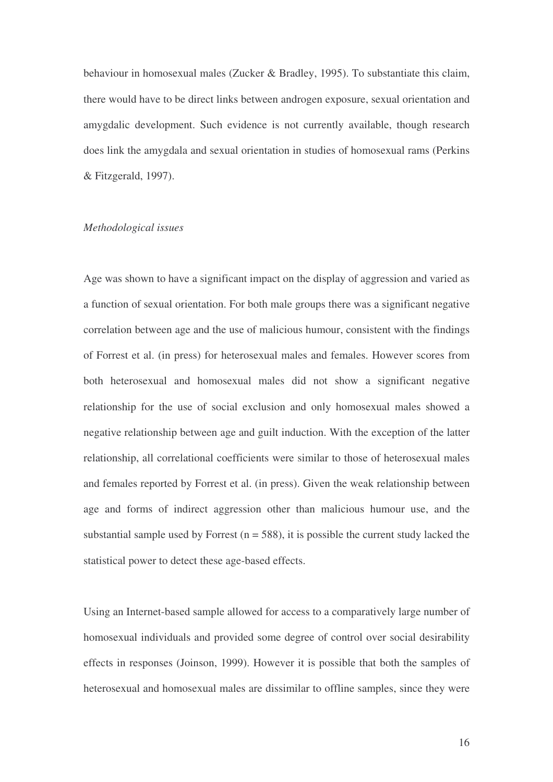behaviour in homosexual males (Zucker & Bradley, 1995). To substantiate this claim, there would have to be direct links between androgen exposure, sexual orientation and amygdalic development. Such evidence is not currently available, though research does link the amygdala and sexual orientation in studies of homosexual rams (Perkins & Fitzgerald, 1997).

#### *Methodological issues*

Age was shown to have a significant impact on the display of aggression and varied as a function of sexual orientation. For both male groups there was a significant negative correlation between age and the use of malicious humour, consistent with the findings of Forrest et al. (in press) for heterosexual males and females. However scores from both heterosexual and homosexual males did not show a significant negative relationship for the use of social exclusion and only homosexual males showed a negative relationship between age and guilt induction. With the exception of the latter relationship, all correlational coefficients were similar to those of heterosexual males and females reported by Forrest et al. (in press). Given the weak relationship between age and forms of indirect aggression other than malicious humour use, and the substantial sample used by Forrest  $(n = 588)$ , it is possible the current study lacked the statistical power to detect these age-based effects.

Using an Internet-based sample allowed for access to a comparatively large number of homosexual individuals and provided some degree of control over social desirability effects in responses (Joinson, 1999). However it is possible that both the samples of heterosexual and homosexual males are dissimilar to offline samples, since they were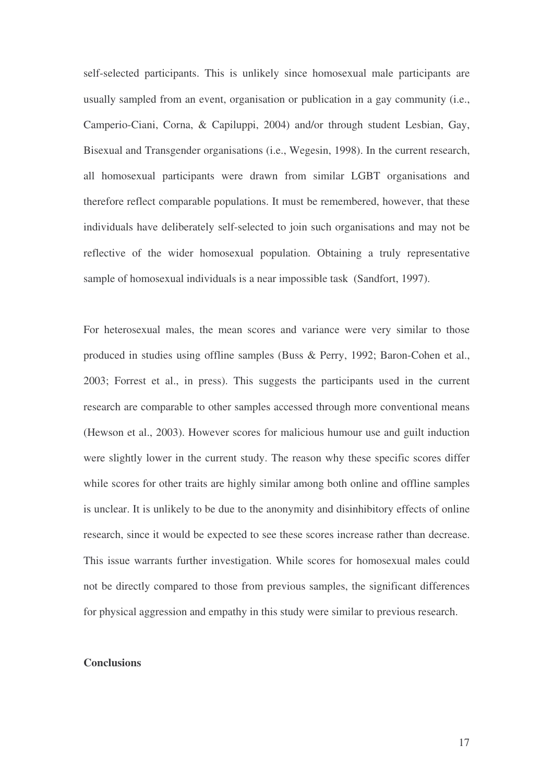self-selected participants. This is unlikely since homosexual male participants are usually sampled from an event, organisation or publication in a gay community (i.e., Camperio-Ciani, Corna, & Capiluppi, 2004) and/or through student Lesbian, Gay, Bisexual and Transgender organisations (i.e., Wegesin, 1998). In the current research, all homosexual participants were drawn from similar LGBT organisations and therefore reflect comparable populations. It must be remembered, however, that these individuals have deliberately self-selected to join such organisations and may not be reflective of the wider homosexual population. Obtaining a truly representative sample of homosexual individuals is a near impossible task (Sandfort, 1997).

For heterosexual males, the mean scores and variance were very similar to those produced in studies using offline samples (Buss & Perry, 1992; Baron-Cohen et al., 2003; Forrest et al., in press). This suggests the participants used in the current research are comparable to other samples accessed through more conventional means (Hewson et al., 2003). However scores for malicious humour use and guilt induction were slightly lower in the current study. The reason why these specific scores differ while scores for other traits are highly similar among both online and offline samples is unclear. It is unlikely to be due to the anonymity and disinhibitory effects of online research, since it would be expected to see these scores increase rather than decrease. This issue warrants further investigation. While scores for homosexual males could not be directly compared to those from previous samples, the significant differences for physical aggression and empathy in this study were similar to previous research.

#### **Conclusions**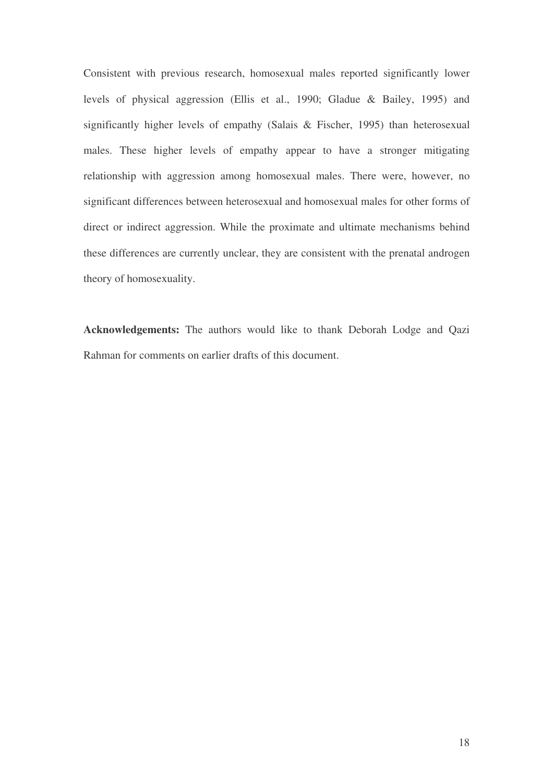Consistent with previous research, homosexual males reported significantly lower levels of physical aggression (Ellis et al., 1990; Gladue & Bailey, 1995) and significantly higher levels of empathy (Salais & Fischer, 1995) than heterosexual males. These higher levels of empathy appear to have a stronger mitigating relationship with aggression among homosexual males. There were, however, no significant differences between heterosexual and homosexual males for other forms of direct or indirect aggression. While the proximate and ultimate mechanisms behind these differences are currently unclear, they are consistent with the prenatal androgen theory of homosexuality.

**Acknowledgements:** The authors would like to thank Deborah Lodge and Qazi Rahman for comments on earlier drafts of this document.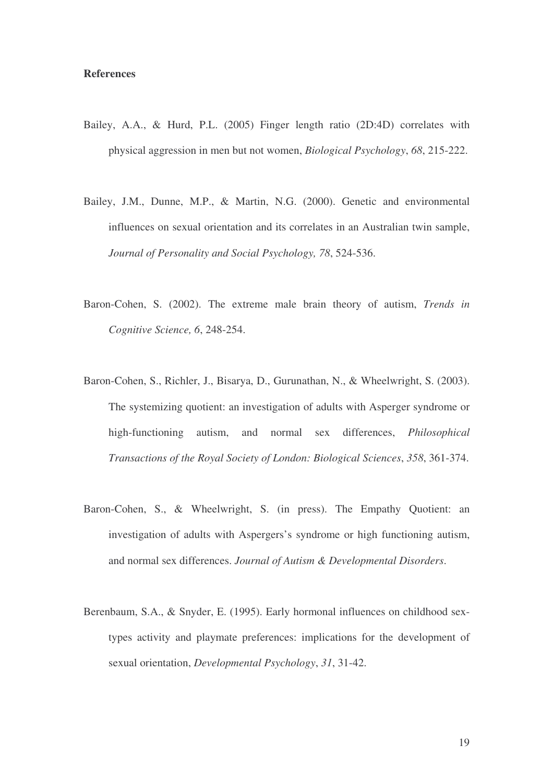#### **References**

- Bailey, A.A., & Hurd, P.L. (2005) Finger length ratio (2D:4D) correlates with physical aggression in men but not women, *Biological Psychology*, *68*, 215-222.
- Bailey, J.M., Dunne, M.P., & Martin, N.G. (2000). Genetic and environmental influences on sexual orientation and its correlates in an Australian twin sample, *Journal of Personality and Social Psychology, 78*, 524-536.
- Baron-Cohen, S. (2002). The extreme male brain theory of autism, *Trends in Cognitive Science, 6*, 248-254.
- Baron-Cohen, S., Richler, J., Bisarya, D., Gurunathan, N., & Wheelwright, S. (2003). The systemizing quotient: an investigation of adults with Asperger syndrome or high-functioning autism, and normal sex differences, *Philosophical Transactions of the Royal Society of London: Biological Sciences*, *358*, 361-374.
- Baron-Cohen, S., & Wheelwright, S. (in press). The Empathy Quotient: an investigation of adults with Aspergers's syndrome or high functioning autism, and normal sex differences. *Journal of Autism & Developmental Disorders*.
- Berenbaum, S.A., & Snyder, E. (1995). Early hormonal influences on childhood sextypes activity and playmate preferences: implications for the development of sexual orientation, *Developmental Psychology*, *31*, 31-42.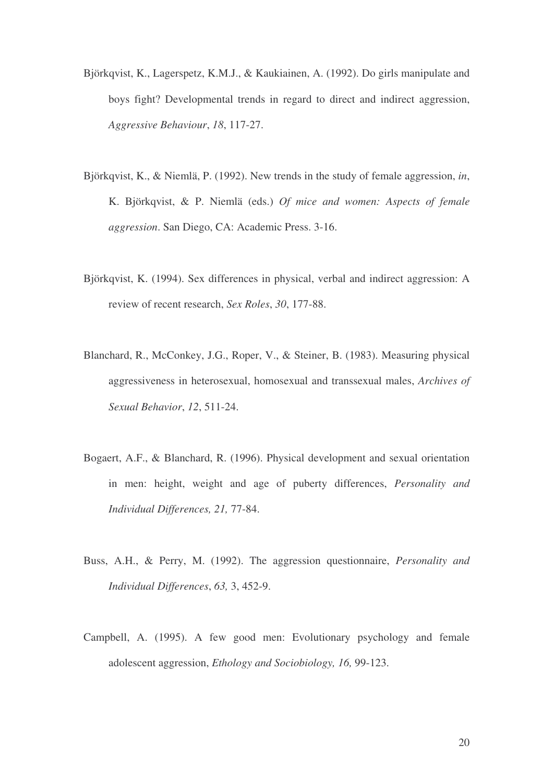- Björkqvist, K., Lagerspetz, K.M.J., & Kaukiainen, A. (1992). Do girls manipulate and boys fight? Developmental trends in regard to direct and indirect aggression, *Aggressive Behaviour*, *18*, 117-27.
- Björkqvist, K., & Niemlä, P. (1992). New trends in the study of female aggression, *in*, K. Björkqvist, & P. Niemlä (eds.) *Of mice and women: Aspects of female aggression*. San Diego, CA: Academic Press. 3-16.
- Björkqvist, K. (1994). Sex differences in physical, verbal and indirect aggression: A review of recent research, *Sex Roles*, *30*, 177-88.
- Blanchard, R., McConkey, J.G., Roper, V., & Steiner, B. (1983). Measuring physical aggressiveness in heterosexual, homosexual and transsexual males, *Archives of Sexual Behavior*, *12*, 511-24.
- Bogaert, A.F., & Blanchard, R. (1996). Physical development and sexual orientation in men: height, weight and age of puberty differences, *Personality and Individual Differences, 21,* 77-84.
- Buss, A.H., & Perry, M. (1992). The aggression questionnaire, *Personality and Individual Differences*, *63,* 3, 452-9.
- Campbell, A. (1995). A few good men: Evolutionary psychology and female adolescent aggression, *Ethology and Sociobiology, 16,* 99-123.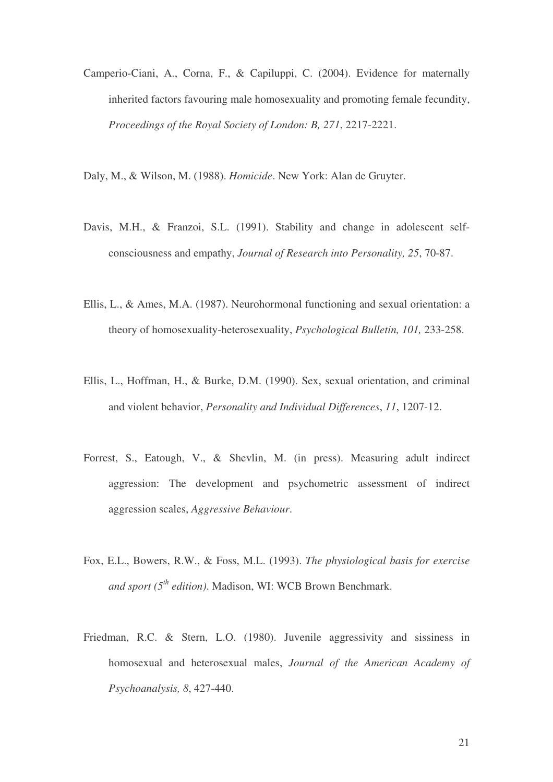- Camperio-Ciani, A., Corna, F., & Capiluppi, C. (2004). Evidence for maternally inherited factors favouring male homosexuality and promoting female fecundity, *Proceedings of the Royal Society of London: B, 271*, 2217-2221.
- Daly, M., & Wilson, M. (1988). *Homicide*. New York: Alan de Gruyter.
- Davis, M.H., & Franzoi, S.L. (1991). Stability and change in adolescent selfconsciousness and empathy, *Journal of Research into Personality, 25*, 70-87.
- Ellis, L., & Ames, M.A. (1987). Neurohormonal functioning and sexual orientation: a theory of homosexuality-heterosexuality, *Psychological Bulletin, 101,* 233-258.
- Ellis, L., Hoffman, H., & Burke, D.M. (1990). Sex, sexual orientation, and criminal and violent behavior, *Personality and Individual Differences*, *11*, 1207-12.
- Forrest, S., Eatough, V., & Shevlin, M. (in press). Measuring adult indirect aggression: The development and psychometric assessment of indirect aggression scales, *Aggressive Behaviour*.
- Fox, E.L., Bowers, R.W., & Foss, M.L. (1993). *The physiological basis for exercise and sport (5 th edition)*. Madison, WI: WCB Brown Benchmark.
- Friedman, R.C. & Stern, L.O. (1980). Juvenile aggressivity and sissiness in homosexual and heterosexual males, *Journal of the American Academy of Psychoanalysis, 8*, 427-440.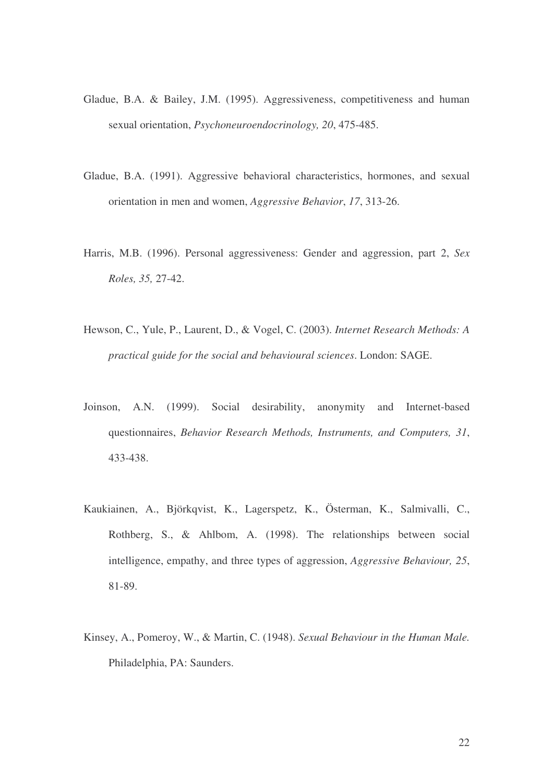- Gladue, B.A. & Bailey, J.M. (1995). Aggressiveness, competitiveness and human sexual orientation, *Psychoneuroendocrinology, 20*, 475-485.
- Gladue, B.A. (1991). Aggressive behavioral characteristics, hormones, and sexual orientation in men and women, *Aggressive Behavior*, *17*, 313-26.
- Harris, M.B. (1996). Personal aggressiveness: Gender and aggression, part 2, *Sex Roles, 35,* 27-42.
- Hewson, C., Yule, P., Laurent, D., & Vogel, C. (2003). *Internet Research Methods: A practical guide for the social and behavioural sciences*. London: SAGE.
- Joinson, A.N. (1999). Social desirability, anonymity and Internet-based questionnaires, *Behavior Research Methods, Instruments, and Computers, 31*, 433-438.
- Kaukiainen, A., Björkqvist, K., Lagerspetz, K., Österman, K., Salmivalli, C., Rothberg, S., & Ahlbom, A. (1998). The relationships between social intelligence, empathy, and three types of aggression, *Aggressive Behaviour, 25*, 81-89.
- Kinsey, A., Pomeroy, W., & Martin, C. (1948). *Sexual Behaviour in the Human Male.* Philadelphia, PA: Saunders.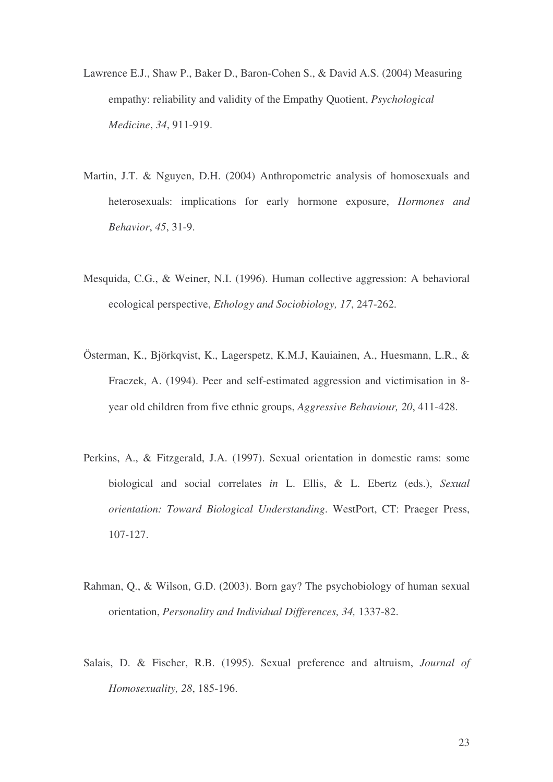- Lawrence E.J., Shaw P., Baker D., Baron-Cohen S., & David A.S. (2004) Measuring empathy: reliability and validity of the Empathy Quotient, *Psychological Medicine*, *34*, 911-919.
- Martin, J.T. & Nguyen, D.H. (2004) Anthropometric analysis of homosexuals and heterosexuals: implications for early hormone exposure, *Hormones and Behavior*, *45*, 31-9.
- Mesquida, C.G., & Weiner, N.I. (1996). Human collective aggression: A behavioral ecological perspective, *Ethology and Sociobiology, 17*, 247-262.
- Österman, K., Björkqvist, K., Lagerspetz, K.M.J, Kauiainen, A., Huesmann, L.R., & Fraczek, A. (1994). Peer and self-estimated aggression and victimisation in 8 year old children from five ethnic groups, *Aggressive Behaviour, 20*, 411-428.
- Perkins, A., & Fitzgerald, J.A. (1997). Sexual orientation in domestic rams: some biological and social correlates *in* L. Ellis, & L. Ebertz (eds.), *Sexual orientation: Toward Biological Understanding*. WestPort, CT: Praeger Press, 107-127.
- Rahman, Q., & Wilson, G.D. (2003). Born gay? The psychobiology of human sexual orientation, *Personality and Individual Differences, 34,* 1337-82.
- Salais, D. & Fischer, R.B. (1995). Sexual preference and altruism, *Journal of Homosexuality, 28*, 185-196.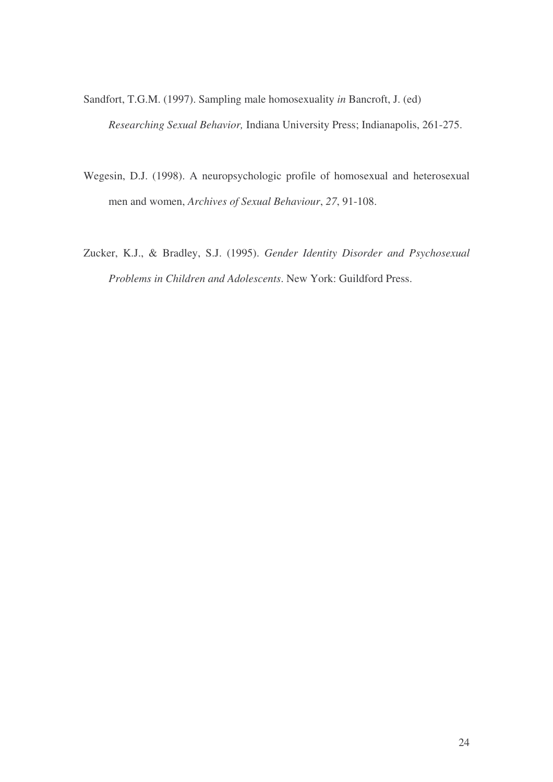Sandfort, T.G.M. (1997). Sampling male homosexuality *in* Bancroft, J. (ed) *Researching Sexual Behavior,* Indiana University Press; Indianapolis, 261-275.

- Wegesin, D.J. (1998). A neuropsychologic profile of homosexual and heterosexual men and women, *Archives of Sexual Behaviour*, *27*, 91-108.
- Zucker, K.J., & Bradley, S.J. (1995). *Gender Identity Disorder and Psychosexual Problems in Children and Adolescents*. New York: Guildford Press.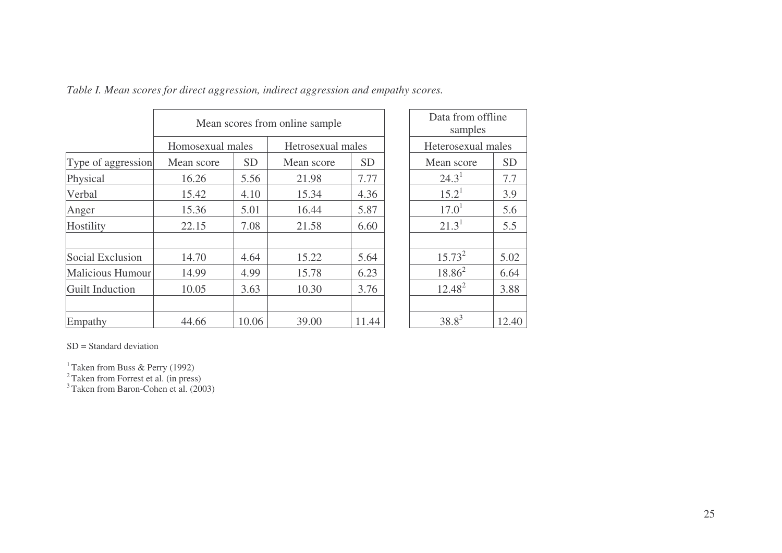|                         | Mean scores from online sample |           |                   |           |  | Data from offline<br>samples |           |
|-------------------------|--------------------------------|-----------|-------------------|-----------|--|------------------------------|-----------|
|                         | Homosexual males               |           | Hetrosexual males |           |  | Heterosexual males           |           |
| Type of aggression      | Mean score                     | <b>SD</b> | Mean score        | <b>SD</b> |  | Mean score                   | <b>SD</b> |
| Physical                | 16.26                          | 5.56      | 21.98             | 7.77      |  | $24.3^1$                     | 7.7       |
| Verbal                  | 15.42                          | 4.10      | 15.34             | 4.36      |  | $15.2^1$                     | 3.9       |
| Anger                   | 15.36                          | 5.01      | 16.44             | 5.87      |  | 17.0 <sup>1</sup>            | 5.6       |
| Hostility               | 22.15                          | 7.08      | 21.58             | 6.60      |  | $21.3^{1}$                   | 5.5       |
| Social Exclusion        | 14.70                          | 4.64      | 15.22             | 5.64      |  | $15.73^{2}$                  | 5.02      |
| <b>Malicious Humour</b> | 14.99                          | 4.99      | 15.78             | 6.23      |  | $18.86^2$                    | 6.64      |
| Guilt Induction         | 10.05                          | 3.63      | 10.30             | 3.76      |  | $12.48^{2}$                  | 3.88      |
| Empathy                 | 44.66                          | 10.06     | 39.00             | 11.44     |  | $38.8^{3}$                   | 12.40     |

*Table I. Mean scores for direct aggression, indirect aggression and empathy scores.*

| Data from offline  |           |  |  |  |
|--------------------|-----------|--|--|--|
| samples            |           |  |  |  |
| Heterosexual males |           |  |  |  |
| Mean score         | <b>SD</b> |  |  |  |
| $24.3^1$           | 7.7       |  |  |  |
| $15.2^1$           | 3.9       |  |  |  |
| 17.0 <sup>1</sup>  | 5.6       |  |  |  |
| $21.3^{1}$         | 5.5       |  |  |  |
|                    |           |  |  |  |
| $15.73^{2}$        | 5.02      |  |  |  |
| $18.86^{2}$        | 6.64      |  |  |  |
| $12.48^{2}$        | 3.88      |  |  |  |
|                    |           |  |  |  |
| $38.8^{3}$         | 12.40     |  |  |  |

SD <sup>=</sup> Standard deviation

<sup>1</sup> Taken from Buss & Perry (1992)<br><sup>2</sup> Taken from Forrest et al. (in press)<br><sup>3</sup> Taken from Baron-Cohen et al. (2003)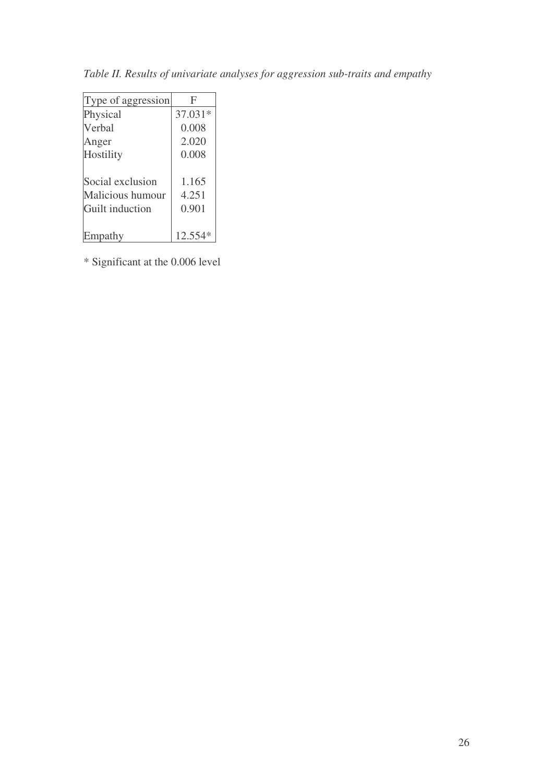| Type of aggression | F         |  |
|--------------------|-----------|--|
| Physical           | $37.031*$ |  |
| Verbal             | 0.008     |  |
| Anger              | 2.020     |  |
| Hostility          | 0.008     |  |
|                    |           |  |
| Social exclusion   | 1.165     |  |
| Malicious humour   | 4.251     |  |
| Guilt induction    | 0.901     |  |
|                    |           |  |
| Empathy            | $12.554*$ |  |

*Table II. Results of univariate analyses for aggression sub-traits and empathy*

\* Significant at the 0.006 level